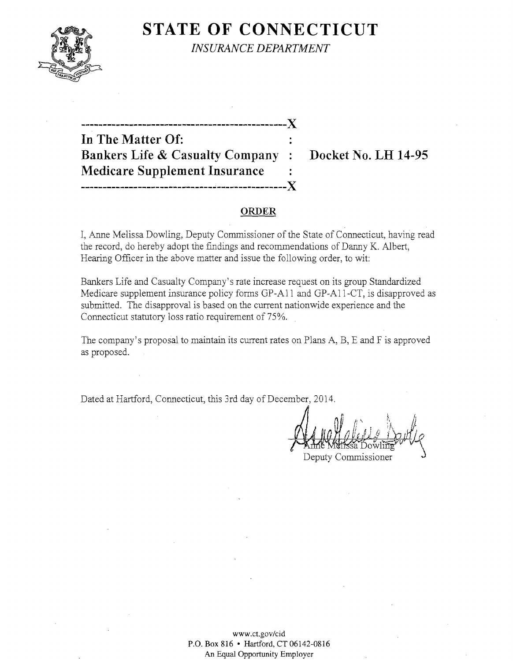

**STATE OF CONNECTICUT** *INSURANCE DEPARTMENT* 

**-----------------------------------------------)( In The Matter Of: Bankers Life & Casualty Company: Docket No. LH 14-95 Medicare Supplement Insurance** ------------------------------~----------------)(

### **ORDER**

I, Anne Melissa Dowling, Deputy Commissioner of the State of Connecticut, having read the record, do hereby adopt the findings and recommendations of Danny K. Albert, Hearing Officer in the above matter and issue the following order, to wit:

Bankers Life and Casualty Company's rate increase request on its group Standardized Medicare supplement insurance policy forms GP-All and GP-All-CT, is disapproved as submitted. The disapproval is based on the current nationwide experience and the Connecticut statutory loss ratio requirement of 75%.

The company's proposal to maintain its current rates on Plans A, B, E and F is approved as proposed.

Dated at Hartford, Connecticut, this 3rd day of December, 2014.

Deputy Commissioner

www.ct.gov/cid P.o. Box 816 • Hartford, CT 06142-0816 An Equal Opportunity Employer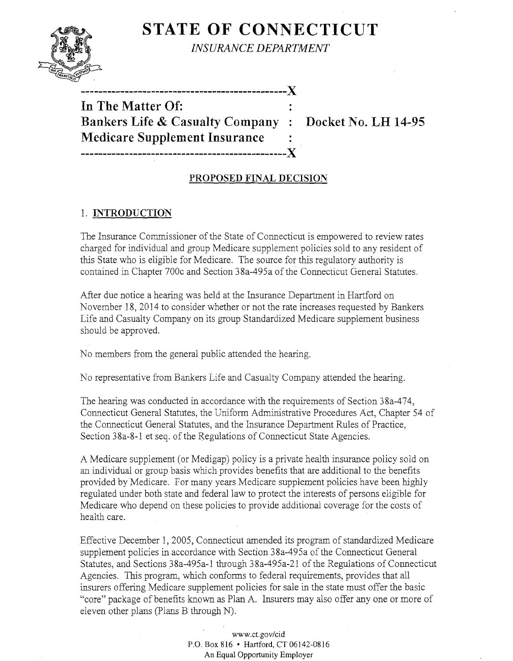

**STATE OF CONNECTICUT** 

*INSURANCE DEPARTMENT* 

------------------------------------

**In The Matter Of: Bankers Life & Casualty Company : Docket No. LH 14-95 Medicare Supplement Insurance -----------------------------------------------J(** 

# **PROPOSED FINAL DECISION**

## 1. **INTRODUCTION**

The Insurance Commissioner of the State of Connecticut is empowered to review rates charged for individual and group Medicare supplement policies sold to any resident of this State who is eligible for Medicare. The source for this regulatory authority is contained in Chapter 700c and Section 38a-495a of the Connecticut General Statutes.

After due notice a hearing was held at the Insurance Department in Hartford on November 18, 2014 to consider whether or not the rate increases requested by Bankers Life and Casualty Company on its group Standardized Medicare supplement business should be approved.

No members from the general public attended the hearing.

No representative from Bankers Life and Casualty Company attended the hearing.

The hearing was conducted in accordance with the requirements of Section 38a-474, Connecticut General Statutes, the Uniform Administrative Procedures Act, Chapter 54 of the Connecticut General Statutes, and the Insurance Department Rules of Practice, Section 38a-8-1 et seq. of the Regulations of Connecticut State Agencies.

A Medicare supplement (or Medigap) policy is a private health insurance policy sold on an individual or group basis which provides benefits that are additional to the benefits provided byMedicare. For many years Medicare supplement policies have been highly regulated under both state and federal law to protect the interests of persons eligible for Medicare who depend on these policies to provide additional coverage for the costs of health care.

Effective December 1,2005, Connecticut amended its program of standardized Medicare supplement policies in accordance with Section 38a-495a of the Connecticut General Statutes, and Sections 38a-495a-l through 38a-495a-21 of the Regulations of Connecticut Agencies. This program, which conforms to federal requirements, provides that all insurers offering Medicare supplement policies for sale in the state must offer the basic "core" package of benefits known as Plan A. Insurers may also offer anyone or more of eleven other plans (plans B through N).

> www.ct.gov/cid P.O. Box 816 • Hartford, CT 06142-0816 An Equal Opportunity Employer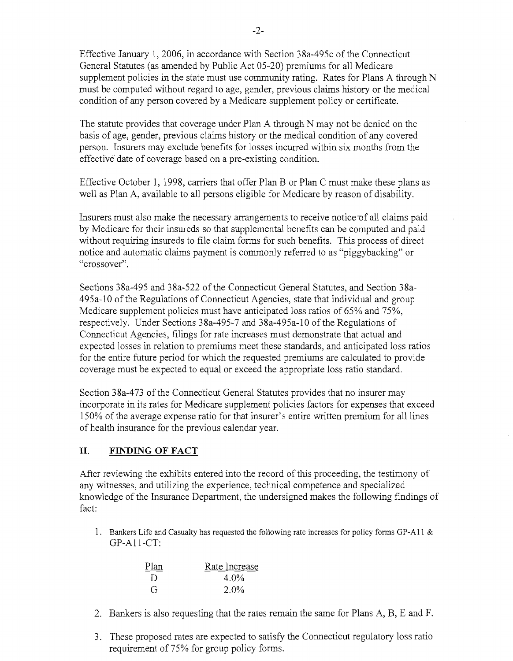Effective January 1,2006, in accordance with Section 38a-495c of the Connecticut General Statutes (as amended by Public Act 05-20) premiums for all Medicare supplement policies in the state must use community rating. Rates for Plans A through N must be computed without regard to age, gender, previous claims history or the medical condition of any person covered by a Medicare supplement policy or certificate.

The statute provides that coverage under Plan A through N may not be denied on the basis of age, gender, previous claims history or the medical condition of any covered person. Insurers may exclude benefits for losses incurred within six months from the effective date of coverage based on a pre-existing condition.

Effective October 1, 1998, carriers that offer Plan B or Plan C must make these plans as well as Plan A, available to all persons eligible for Medicare by reason of disability.

Insurers must also make the necessary arrangements to receive notice of all claims paid by Medicare for their insureds so that supplemental benefits can be computed and paid without requiring insureds to file claim forms for such benefits. This process of direct notice and automatic claims payment is commonly referred to as "piggybacking" or "crossover".

Sections 38a-495 and 38a-522 of the Connecticut General Statutes, and Section 3&a-495a-10 ofthe Regulations of Connecticut Agencies, state that individual and group Medicare supplement policies must have anticipated loss ratios of 65% and 75%, respectively. Under Sections 38a-495-7 and 38a-495a-10 of the Regulations of Connecticut Agencies, filings for rate increases must demonstrate that actual and expected losses in relation to premiums meet these standards, and anticipated loss ratios for the entire future period for which the requested premiums are calculated to provide coverage must be expected to equal or exceed the appropriate loss ratio standard.

Section 38a-473 of the Connecticut General Statutes provides that no insurer may incorporate in its rates for Medicare supplement policies factors for expenses that exceed 150% of the average expense ratio for that insurer's entire written premium for all lines of health insurance for the previous calendar year.

### **II. FINDING OF FACT**

After reviewing the exhibits entered into the record of this proceeding, the testimony of any witnesses, and utilizing the experience, technical competence and specialized knowledge of the Insurance Department, the undersigned makes the following findings of fact:

1. Bankers Life and Casualty has requested the following rate increases for policy forms GP-A11 & GP-A11-CT:

| Plan         | Rate Increase |
|--------------|---------------|
| $\Box$       | $4.0\%$       |
| $\mathbf{G}$ | $2.0\%$       |

- 2. Bankers is also requesting that the rates remain the same for Plans A, B, E and F.
- 3. These proposed rates are expected to satisfy the Connecticut regulatory loss ratio requirement of 75% for group policy forms.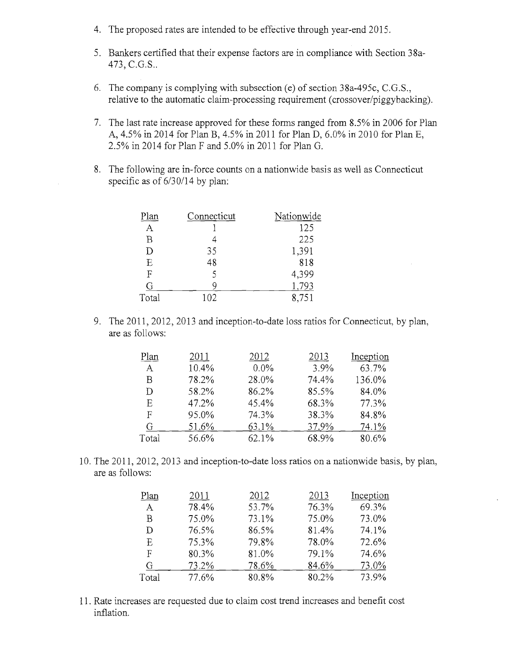- 4. The proposed rates are intended to be effective through year-end 2015.
- 5. Bankers certified that their expense factors are in compliance with Section 38a-473, C.G.S..
- 6. The company is complying with subsection (e) of section  $38a-495c$ , C.G.S., relative to the automatic claim-processing requirement (crossover/piggybacking).
- 7. The last rate increase approved for these forms ranged from 8.5% in 2006 for Plan A, 4.5% in 2014 for Plan B, 4.5% in 2011 for Plan D, 6,0% in 2010 for Plan E, 2,5% in 2014 for Plan F and 5.0% in 2011 for Plan G,
- 8. The following are in-force counts on a nationwide basis as well as Connecticut specific as of 6/30/14 by plan:

| Plan           | Connecticut | Nationwide |
|----------------|-------------|------------|
| Α              |             | 125        |
| $\overline{B}$ |             | 225        |
| D              | 35          | 1,391      |
| E              | 48          | 818        |
| F              | ς           | 4,399      |
| G              | O           | .793       |
| Total          | 102         | 8,751      |

9. The 2011, 2012, 2013 and inception-to-date loss ratios for Connecticut, by plan, are as follows:

| Plan  | 2011  | 2012    | 2013  | Inception |
|-------|-------|---------|-------|-----------|
| A     | 10.4% | $0.0\%$ | 3.9%  | 63.7%     |
| В     | 78.2% | 28.0%   | 74.4% | 136.0%    |
| D     | 58.2% | 86.2%   | 85.5% | 84.0%     |
| Ε     | 47.2% | 45.4%   | 68.3% | 77.3%     |
| F     | 95.0% | 74.3%   | 38.3% | 84.8%     |
| G     | 51.6% | 63.1%   | 37.9% | 74.1%     |
| Total | 56.6% | 62.1%   | 68.9% | 80.6%     |

10. The 2011, 2012, 2013 and inception-to-date loss ratios on a nationwide basis, by plan, are as follows:

| Plan  | 2011  | 2012  | 2013  | Inception |
|-------|-------|-------|-------|-----------|
| A     | 78.4% | 53.7% | 76.3% | 69.3%     |
| Β     | 75.0% | 73.1% | 75.0% | 73.0%     |
| Ð     | 76.5% | 86.5% | 81.4% | 74.1%     |
| E     | 75.3% | 79.8% | 78.0% | 72.6%     |
| F     | 80.3% | 81.0% | 79.1% | 74.6%     |
| G     | 73.2% | 78.6% | 84.6% | 73.0%     |
| Total | 77.6% | 80.8% | 80.2% | 73.9%     |

11. Rate increases are requested due to claim cost trend increases and benefit cost inflation.